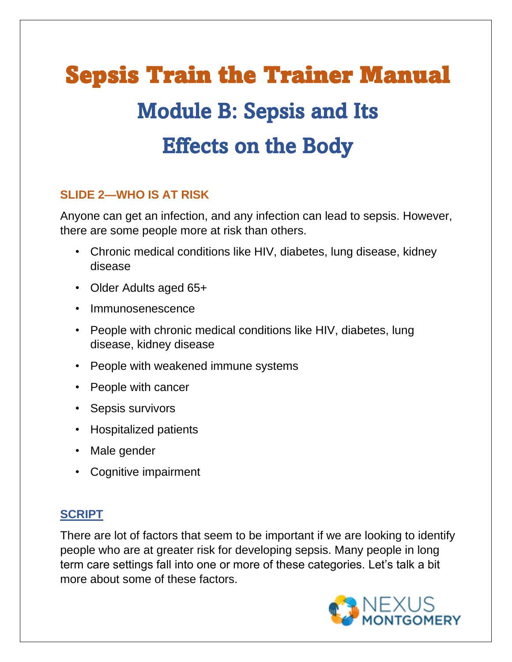# Sepsis Train the Trainer Manual Module B: Sepsis and Its Effects on the Body

## **SLIDE 2—WHO IS AT RISK**

Anyone can get an infection, and any infection can lead to sepsis. However, there are some people more at risk than others.

- Chronic medical conditions like HIV, diabetes, lung disease, kidney disease
- Older Adults aged 65+
- Immunosenescence
- People with chronic medical conditions like HIV, diabetes, lung disease, kidney disease
- People with weakened immune systems
- People with cancer
- Sepsis survivors
- Hospitalized patients
- Male gender
- Cognitive impairment

## **SCRIPT**

There are lot of factors that seem to be important if we are looking to identify people who are at greater risk for developing sepsis. Many people in long term care settings fall into one or more of these categories. Let's talk a bit more about some of these factors.

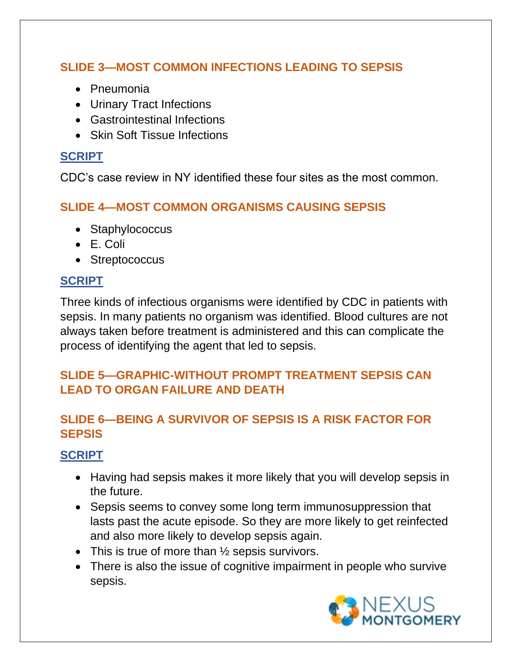## **SLIDE 3—MOST COMMON INFECTIONS LEADING TO SEPSIS**

- Pneumonia
- Urinary Tract Infections
- Gastrointestinal Infections
- Skin Soft Tissue Infections

#### **SCRIPT**

CDC's case review in NY identified these four sites as the most common.

#### **SLIDE 4—MOST COMMON ORGANISMS CAUSING SEPSIS**

- Staphylococcus
- E. Coli
- Streptococcus

#### **SCRIPT**

Three kinds of infectious organisms were identified by CDC in patients with sepsis. In many patients no organism was identified. Blood cultures are not always taken before treatment is administered and this can complicate the process of identifying the agent that led to sepsis.

#### **SLIDE 5—GRAPHIC-WITHOUT PROMPT TREATMENT SEPSIS CAN LEAD TO ORGAN FAILURE AND DEATH**

## **SLIDE 6—BEING A SURVIVOR OF SEPSIS IS A RISK FACTOR FOR SEPSIS**

## **SCRIPT**

- Having had sepsis makes it more likely that you will develop sepsis in the future.
- Sepsis seems to convey some long term immunosuppression that lasts past the acute episode. So they are more likely to get reinfected and also more likely to develop sepsis again.
- This is true of more than  $\frac{1}{2}$  sepsis survivors.
- There is also the issue of cognitive impairment in people who survive sepsis.

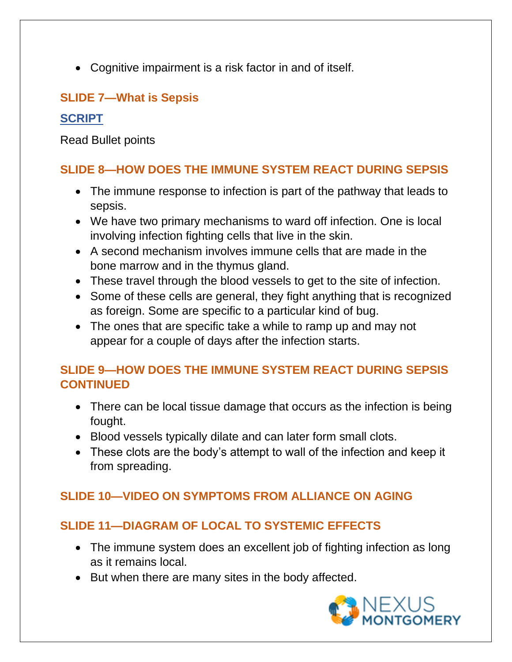• Cognitive impairment is a risk factor in and of itself.

## **SLIDE 7—What is Sepsis**

#### **SCRIPT**

Read Bullet points

# **SLIDE 8—HOW DOES THE IMMUNE SYSTEM REACT DURING SEPSIS**

- The immune response to infection is part of the pathway that leads to sepsis.
- We have two primary mechanisms to ward off infection. One is local involving infection fighting cells that live in the skin.
- A second mechanism involves immune cells that are made in the bone marrow and in the thymus gland.
- These travel through the blood vessels to get to the site of infection.
- Some of these cells are general, they fight anything that is recognized as foreign. Some are specific to a particular kind of bug.
- The ones that are specific take a while to ramp up and may not appear for a couple of days after the infection starts.

#### **SLIDE 9—HOW DOES THE IMMUNE SYSTEM REACT DURING SEPSIS CONTINUED**

- There can be local tissue damage that occurs as the infection is being fought.
- Blood vessels typically dilate and can later form small clots.
- These clots are the body's attempt to wall of the infection and keep it from spreading.

## **SLIDE 10—VIDEO ON SYMPTOMS FROM ALLIANCE ON AGING**

# **SLIDE 11—DIAGRAM OF LOCAL TO SYSTEMIC EFFECTS**

- The immune system does an excellent job of fighting infection as long as it remains local.
- But when there are many sites in the body affected.